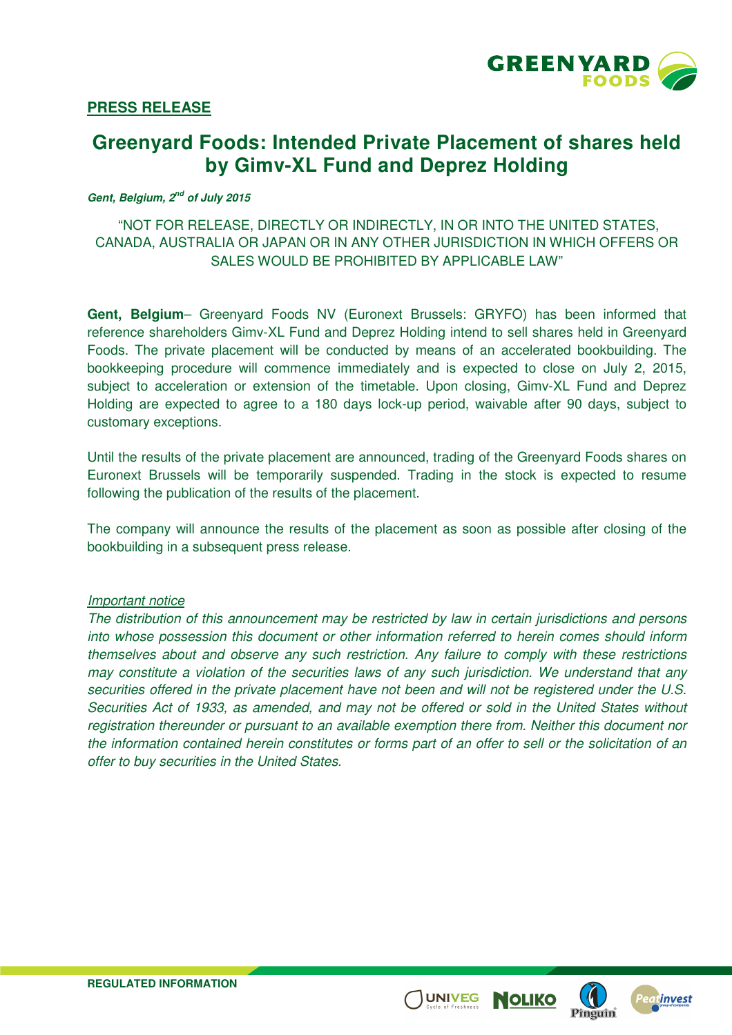

# **PRESS RELEASE**

# **Greenyard Foods: Intended Private Placement of shares held by Gimv-XL Fund and Deprez Holding**

#### **Gent, Belgium, 2nd of July 2015**

# "NOT FOR RELEASE, DIRECTLY OR INDIRECTLY, IN OR INTO THE UNITED STATES, CANADA, AUSTRALIA OR JAPAN OR IN ANY OTHER JURISDICTION IN WHICH OFFERS OR SALES WOULD BE PROHIBITED BY APPLICABLE LAW"

**Gent, Belgium**– Greenyard Foods NV (Euronext Brussels: GRYFO) has been informed that reference shareholders Gimv-XL Fund and Deprez Holding intend to sell shares held in Greenyard Foods. The private placement will be conducted by means of an accelerated bookbuilding. The bookkeeping procedure will commence immediately and is expected to close on July 2, 2015, subject to acceleration or extension of the timetable. Upon closing, Gimv-XL Fund and Deprez Holding are expected to agree to a 180 days lock-up period, waivable after 90 days, subject to customary exceptions.

Until the results of the private placement are announced, trading of the Greenyard Foods shares on Euronext Brussels will be temporarily suspended. Trading in the stock is expected to resume following the publication of the results of the placement.

The company will announce the results of the placement as soon as possible after closing of the bookbuilding in a subsequent press release.

#### Important notice

The distribution of this announcement may be restricted by law in certain jurisdictions and persons into whose possession this document or other information referred to herein comes should inform themselves about and observe any such restriction. Any failure to comply with these restrictions may constitute a violation of the securities laws of any such jurisdiction. We understand that any securities offered in the private placement have not been and will not be registered under the U.S. Securities Act of 1933, as amended, and may not be offered or sold in the United States without registration thereunder or pursuant to an available exemption there from. Neither this document nor the information contained herein constitutes or forms part of an offer to sell or the solicitation of an offer to buy securities in the United States.

**UNIVEG** 

NOLIKC